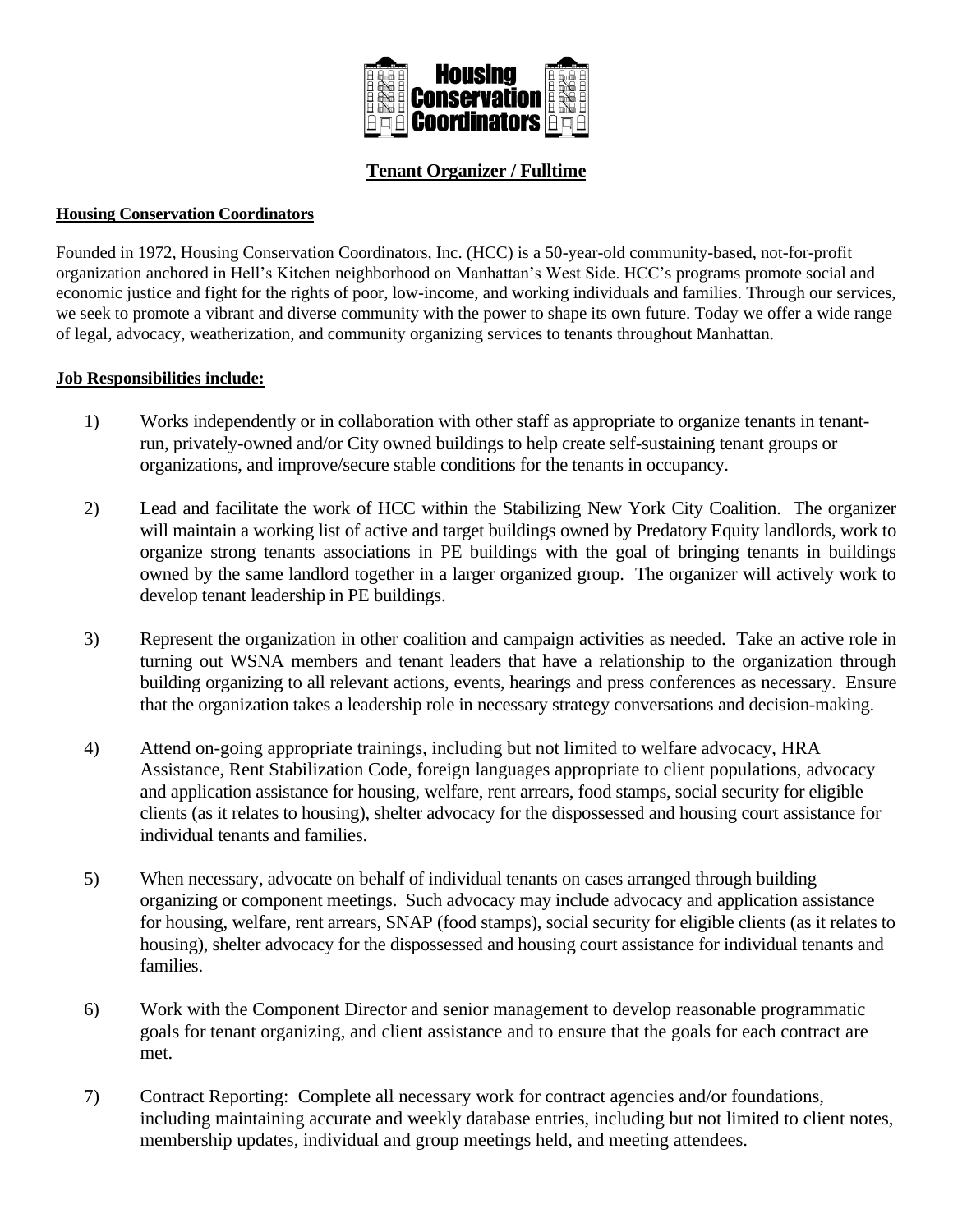

# **Tenant Organizer / Fulltime**

### **Housing Conservation Coordinators**

Founded in 1972, Housing Conservation Coordinators, Inc. (HCC) is a 50-year-old community-based, not-for-profit organization anchored in Hell's Kitchen neighborhood on Manhattan's West Side. HCC's programs promote social and economic justice and fight for the rights of poor, low-income, and working individuals and families. Through our services, we seek to promote a vibrant and diverse community with the power to shape its own future. Today we offer a wide range of legal, advocacy, weatherization, and community organizing services to tenants throughout Manhattan.

#### **Job Responsibilities include:**

- 1) Works independently or in collaboration with other staff as appropriate to organize tenants in tenantrun, privately-owned and/or City owned buildings to help create self-sustaining tenant groups or organizations, and improve/secure stable conditions for the tenants in occupancy.
- 2) Lead and facilitate the work of HCC within the Stabilizing New York City Coalition. The organizer will maintain a working list of active and target buildings owned by Predatory Equity landlords, work to organize strong tenants associations in PE buildings with the goal of bringing tenants in buildings owned by the same landlord together in a larger organized group. The organizer will actively work to develop tenant leadership in PE buildings.
- 3) Represent the organization in other coalition and campaign activities as needed. Take an active role in turning out WSNA members and tenant leaders that have a relationship to the organization through building organizing to all relevant actions, events, hearings and press conferences as necessary. Ensure that the organization takes a leadership role in necessary strategy conversations and decision-making.
- 4) Attend on-going appropriate trainings, including but not limited to welfare advocacy, HRA Assistance, Rent Stabilization Code, foreign languages appropriate to client populations, advocacy and application assistance for housing, welfare, rent arrears, food stamps, social security for eligible clients (as it relates to housing), shelter advocacy for the dispossessed and housing court assistance for individual tenants and families.
- 5) When necessary, advocate on behalf of individual tenants on cases arranged through building organizing or component meetings. Such advocacy may include advocacy and application assistance for housing, welfare, rent arrears, SNAP (food stamps), social security for eligible clients (as it relates to housing), shelter advocacy for the dispossessed and housing court assistance for individual tenants and families.
- 6) Work with the Component Director and senior management to develop reasonable programmatic goals for tenant organizing, and client assistance and to ensure that the goals for each contract are met.
- 7) Contract Reporting: Complete all necessary work for contract agencies and/or foundations, including maintaining accurate and weekly database entries, including but not limited to client notes, membership updates, individual and group meetings held, and meeting attendees.